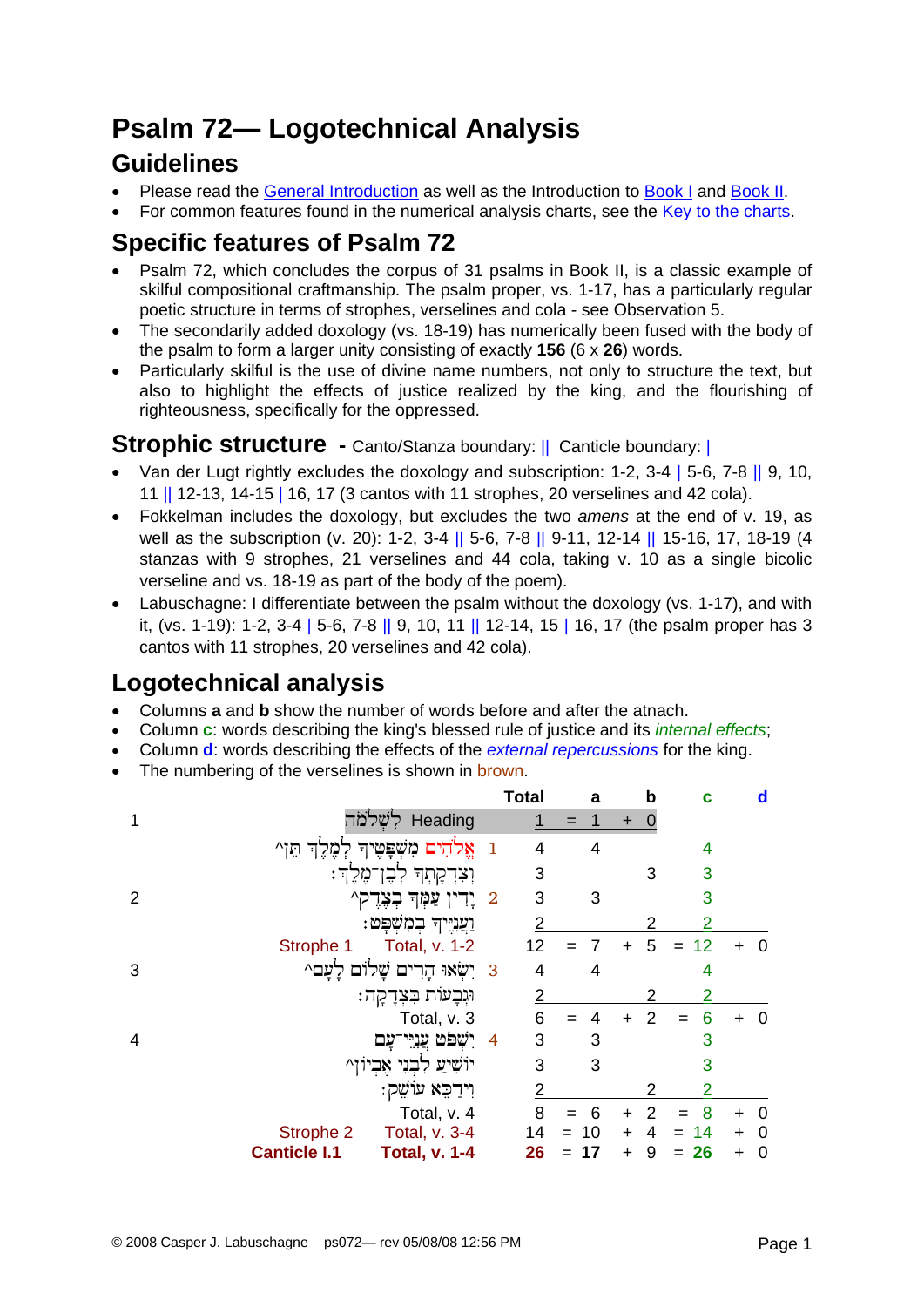# **Psalm 72— Logotechnical Analysis**

### **Guidelines**

- Please read the [General Introduction](http://www.labuschagne.nl/aspects.pdf) as well as the Introduction to [Book I](http://www.labuschagne.nl/intro1.pdf) and [Book II](http://www.labuschagne.nl/intro2.pdf).
- For common features found in the numerical analysis charts, see the [Key to the charts](http://www.labuschagne.nl/keytocharts.pdf).

# **Specific features of Psalm 72**

- Psalm 72, which concludes the corpus of 31 psalms in Book II, is a classic example of skilful compositional craftmanship. The psalm proper, vs. 1-17, has a particularly regular poetic structure in terms of strophes, verselines and cola - see Observation 5.
- The secondarily added doxology (vs. 18-19) has numerically been fused with the body of the psalm to form a larger unity consisting of exactly **156** (6 x **26**) words.
- Particularly skilful is the use of divine name numbers, not only to structure the text, but also to highlight the effects of justice realized by the king, and the flourishing of righteousness, specifically for the oppressed.

#### **Strophic structure** - Canto/Stanza boundary: || Canticle boundary: ||

- Van der Lugt rightly excludes the doxology and subscription: 1-2, 3-4 | 5-6, 7-8 || 9, 10, 11 || 12-13, 14-15 | 16, 17 (3 cantos with 11 strophes, 20 verselines and 42 cola).
- Fokkelman includes the doxology, but excludes the two *amens* at the end of v. 19, as well as the subscription (v. 20): 1-2, 3-4 || 5-6, 7-8 || 9-11, 12-14 || 15-16, 17, 18-19 (4 stanzas with 9 strophes, 21 verselines and 44 cola, taking v. 10 as a single bicolic verseline and vs. 18-19 as part of the body of the poem).
- Labuschagne: I differentiate between the psalm without the doxology (vs. 1-17), and with it, (vs. 1-19): 1-2, 3-4 | 5-6, 7-8 || 9, 10, 11 || 12-14, 15 | 16, 17 (the psalm proper has 3 cantos with 11 strophes, 20 verselines and 42 cola).

# **Logotechnical analysis**

- Columns **a** and **b** show the number of words before and after the atnach.
- Column **c**: words describing the king's blessed rule of justice and its *internal effects*;
- Column **d**: words describing the effects of the *external repercussions* for the king.
- The numbering of the verselines is shown in brown.

|   |                                             |              | <b>Total</b>   |        | a     |           | b              | c              |           | d              |
|---|---------------------------------------------|--------------|----------------|--------|-------|-----------|----------------|----------------|-----------|----------------|
|   | Heading לִשְׁלֹמֹה                          |              |                | $=$    |       | ÷         |                |                |           |                |
|   | אֱלֹהִים מִשְׁפָּטֶיךָ<br>מֶּלֶךְ תֵּןְ^    | $\mathbf{1}$ | 4              |        | 4     |           |                | 4              |           |                |
|   | וְצִדְקִתְךָ לְבֶן־מֶלֶךְ:                  |              | 3              |        |       |           | 3              | 3              |           |                |
| 2 | 2 יְדִין עַמְּךָ בְצֶדֶק^                   |              | 3              |        | 3     |           |                | 3              |           |                |
|   | וַעֲנִיִּיךְ בִמְשִׁפַּט:                   |              | 2              |        |       |           |                |                |           |                |
|   | Total, v. 1-2<br>Strophe 1                  |              | 12             |        | 7     | $\ddot{}$ | 5              | 12             |           | 0              |
| 3 | יִשְׂאוּ הָרִים שָׁלוֹם לָעָם^              | 3            | 4              |        | 4     |           |                | 4              |           |                |
|   | וּיְבְעוֹת בִּצְדָקָה:                      |              | $\overline{2}$ |        |       |           |                | $\overline{2}$ |           |                |
|   | Total, v. 3                                 |              | 6              |        |       | $\ddot{}$ | $\overline{2}$ | 6              | $\ddot{}$ | 0              |
| 4 | ישפט עניי<br>עם                             | 4            | 3              |        | 3     |           |                | 3              |           |                |
|   | אָבְיון^                                    |              | 3              |        | 3     |           |                | 3              |           |                |
|   | וִידַבֵּא עוֹשֵׁק:                          |              | 2              |        |       |           |                | 2              |           |                |
|   | Total, v. 4                                 |              | <u>8</u>       |        | $= 6$ | ÷         | 2              | 8<br>$=$       | $\ddot{}$ | <u>0</u>       |
|   | Strophe 2<br>Total, v. 3-4                  |              | 14             | $= 10$ |       | $\ddot{}$ | 4              | $= 14$         | $+$       | $\overline{0}$ |
|   | <b>Canticle I.1</b><br><b>Total, v. 1-4</b> |              | 26             |        | 17    | $\ddot{}$ | 9              | 26             | $\ddot{}$ | $\mathbf 0$    |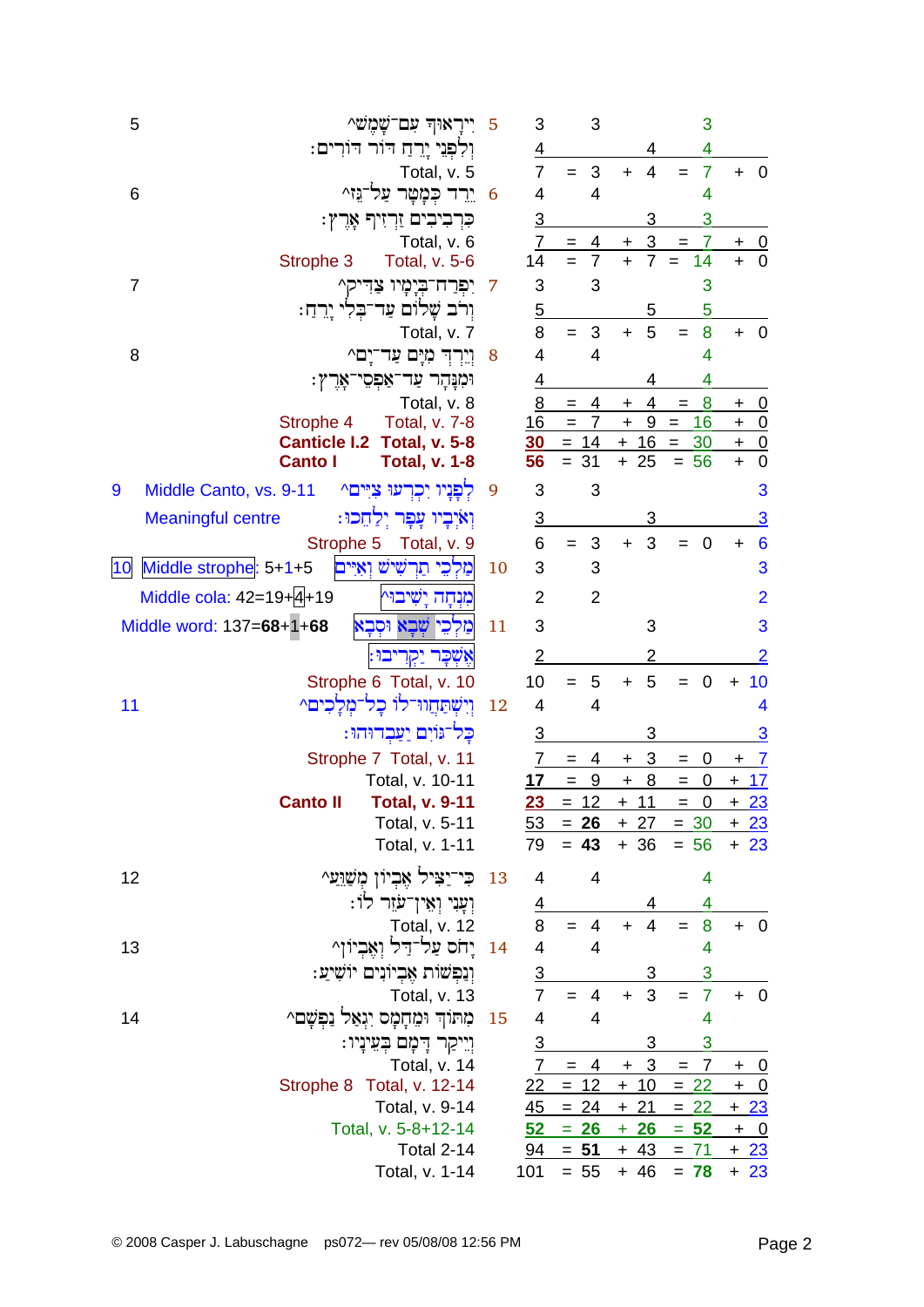| 5              | ייראוד עם־שַמֵש^                                              | 5  | 3                        | 3                                   |                              | 3                     |                                      |
|----------------|---------------------------------------------------------------|----|--------------------------|-------------------------------------|------------------------------|-----------------------|--------------------------------------|
|                | וִלְפִנֵי יָרֵהַ הוֹר הוֹרִים:                                |    | $\overline{4}$           |                                     | 4                            | 4                     |                                      |
|                | Total, v. 5                                                   |    | $\overline{7}$           | 3<br>$=$                            | $\overline{4}$<br>$+$        | $\overline{7}$<br>$=$ | $+ 0$                                |
| 6              | ירד כִּמָטַר עַל־גּז^                                         | 6  | 4                        | $\overline{4}$                      |                              | 4                     |                                      |
|                | כִּרְבִיבִים זַרְזִיךְ אָרֶץ:                                 |    | $\overline{3}$           |                                     | 3                            | 3                     |                                      |
|                | Total, v. 6                                                   |    | 7                        | 4                                   | $\overline{3}$<br>+          | 7<br>$=$              | <u>_0</u><br>+                       |
|                | Strophe 3<br><b>Total, v. 5-6</b>                             |    | 14                       | $\overline{7}$                      | $\ddot{+}$<br>$\overline{7}$ | 14                    | $\overline{0}$<br>$\ddot{}$          |
| $\overline{7}$ | יִפְרַח־בְיָמָיו צַדִּיק^                                     | 7  | 3                        | 3                                   |                              | 3                     |                                      |
|                | וִרֹב שֲׁלוֹם עַד־בִּלִי יָרֵהַ:                              |    | $\overline{5}$           |                                     | 5                            | 5                     |                                      |
|                | Total, v. 7                                                   |    | 8                        | 3<br>$=$                            | 5<br>$+$                     | 8<br>$=$              | $+ 0$                                |
| 8              | וֵיִרְדָ מְיָם עַד־יָם^                                       | 8  | 4                        | 4                                   |                              | 4                     |                                      |
|                | וּמִנַּהָר עַד־אַפְסִי־אָרֶץ:                                 |    | $\overline{4}$           |                                     | 4                            | 4                     |                                      |
|                | Total, v. 8                                                   |    | 8                        | 4<br>$=$                            | 4<br>$\pm$                   | 8<br>$\equiv$         | $+ 0$                                |
|                | Strophe 4<br>Total, v. 7-8                                    |    | 16                       | $\overline{7}$<br>$\qquad \qquad =$ | 9<br>$\ddot{}$               | 16<br>$=$             | <u>+ 0</u>                           |
|                | <b>Canticle I.2</b><br><b>Total, v. 5-8</b><br><b>Canto I</b> |    | 30 <sub>2</sub><br>56    | $= 14$<br>$= 31$                    | $+ 16 =$<br>$+25$            | 30<br>$= 56$          | $+ 0$<br>$\ddot{}$<br>$\overline{0}$ |
|                | <b>Total, v. 1-8</b>                                          |    |                          |                                     |                              |                       |                                      |
| 9              | לפניו יכרעו ציים^<br>Middle Canto, vs. 9-11                   | 9  | 3                        | 3                                   |                              |                       | 3                                    |
|                | וְאיְבְיו עָפְר יְלַחֵכוּ:<br><b>Meaningful centre</b>        |    | <u>3</u>                 |                                     | 3                            |                       | $\overline{3}$                       |
|                | Strophe 5<br>Total, v. 9                                      |    | 6                        | 3<br>$=$                            | 3<br>$+$                     | $\mathbf 0$           | $6\phantom{1}6$<br>$\ddot{}$         |
| 10             | מַלִכֵי תַרְשִׁישׁ וְאָיִּים<br>Middle strophe: 5+1+5         | 10 | 3                        | 3                                   |                              |                       | 3                                    |
|                | Middle cola: 42=19+4+19<br>מנחה ישיבו^                        |    | 2                        | $\overline{2}$                      |                              |                       | $\overline{2}$                       |
|                | Middle word: 137=68+1+68<br>מַלִכֵי שִׁבָא וּסְבָא            | 11 | 3                        |                                     | 3                            |                       | 3                                    |
|                | אֵשְׁכָר יַקְרִיבוּ:                                          |    | 2                        |                                     | 2                            |                       | <u>2</u>                             |
|                | Strophe 6 Total, v. 10                                        |    | 10                       | 5<br>$=$                            | 5<br>$\ddot{}$               | $\mathbf 0$<br>$=$    | 10<br>$\ddagger$                     |
| 11             | וְיִשְׁתַּחֲוּדְלוֹ כָל־מָלָכִים^                             | 12 | 4                        | 4                                   |                              |                       | 4                                    |
|                | כַּל־גּוֹיִם יַעַּבְדוּהוּ:                                   |    | $\overline{3}$           |                                     | 3                            |                       | <u>3</u>                             |
|                | Strophe 7 Total, v. 11                                        |    | 7                        | 4<br>$=$                            | $+3$                         | 0<br>$=$              | $+$ 7                                |
|                | Total, v. 10-11                                               |    | 17                       | $_{9}$<br>$=$                       | 8<br>$\boldsymbol{+}$        | $= 0$                 | $+17$                                |
|                | <b>Canto II</b><br><b>Total, v. 9-11</b>                      |    | 23                       | $= 12$                              | $+ 11$                       | $\mathbf 0$<br>$=$    | $+23$                                |
|                | Total, v. 5-11                                                |    |                          | $\frac{53}{ } = 26$                 |                              | $+ 27 = 30$           | <u>+ 23</u>                          |
|                | Total, v. 1-11                                                |    | 79                       | $= 43$                              |                              | $+36 = 56$            | $+23$                                |
| 12             | ּכִּי־יַצִּיל אֶבְיוֹן מְשַׁוֵּעַ^                            | 13 | $\overline{4}$           | 4                                   |                              | 4                     |                                      |
|                | וְעָנִי וְאֵין־עֹזֵר לוֹ:                                     |    | $\overline{4}$           |                                     |                              | 4                     |                                      |
|                | Total, v. 12                                                  |    | 8                        | $\overline{4}$<br>$=$               | $\overline{4}$<br>$+$        | 8<br>$=$              | $+ 0$                                |
| 13             | 14 יַחֹס עַל־דַּל וְאֵבִיוֹן                                  |    | $\overline{\mathcal{A}}$ | $\overline{4}$                      |                              | 4                     |                                      |
|                | וְנַפִּשׁוֹת אֲבִיוֹנִים יוֹשִׁיעַ:                           |    | <u>3</u>                 |                                     | 3                            | 3                     |                                      |
|                | <b>Total, v. 13</b>                                           |    | $\overline{7}$           | $= 4$                               | 3<br>$+$                     | $\overline{7}$<br>$=$ | $+ 0$                                |
| 14             | מתוך ומחמס יגאל<br>נפשם^                                      | 15 | $\overline{4}$           | 4                                   |                              | 4                     |                                      |
|                | וְיִיקַר דָּמָָם בְּעֵינְיוּ:                                 |    | $\overline{3}$           |                                     | 3                            | 3                     |                                      |
|                | Total, v. 14                                                  |    | $\mathbf{7}$             | $=$                                 | $4 + 3$                      | $\overline{7}$<br>$=$ | $+$ 0                                |
|                | Strophe 8 Total, v. 12-14                                     |    |                          | $22 = 12$                           | $+10$                        | $= 22$                | $+$ 0                                |
|                | Total, v. 9-14                                                |    | 45                       | $= 24 + 21$                         |                              | $= 22$                | $+23$                                |
|                | Total, v. 5-8+12-14                                           |    | $52-$                    | $= 26$                              | $+26$                        | $= 52$                | $+ 0$                                |
|                | <b>Total 2-14</b>                                             |    |                          | $\frac{94}{ } = 51$                 |                              | $+ 43 = 71 + 23$      |                                      |
|                | Total, v. 1-14                                                |    | 101                      | $= 55$                              | $+ 46$                       | $= 78$                | $+23$                                |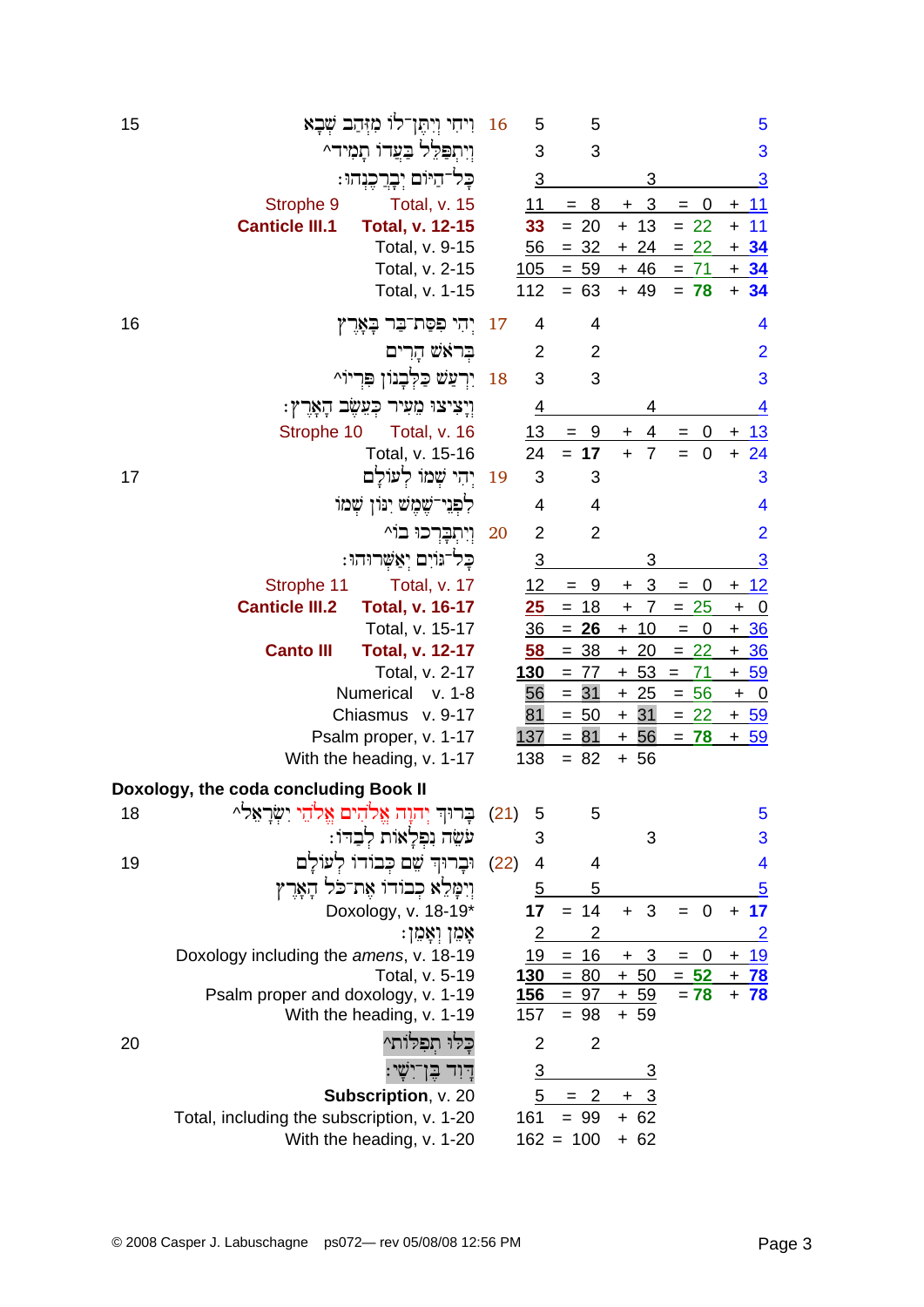| 15                                    |                       | וִיחִי וְיִהֶן־לוֹ מִזְּהַב שְׁבָא                   | 16   | 5              | 5                     |                              |                                                              | 5                                         |
|---------------------------------------|-----------------------|------------------------------------------------------|------|----------------|-----------------------|------------------------------|--------------------------------------------------------------|-------------------------------------------|
|                                       |                       | ויתפלל בעדו תמיד^                                    |      | 3              | 3                     |                              |                                                              | 3                                         |
|                                       |                       | כָּל־הַיּוֹם יְבְרֲכֶנְהוּ :                         |      | $\overline{3}$ |                       | 3                            |                                                              | $\overline{3}$                            |
|                                       | Strophe 9             | Total, v. 15                                         |      | 11             | 8<br>$=$              | 3<br>+                       | 0<br>=                                                       | $\overline{11}$<br>+                      |
|                                       | <b>Canticle III.1</b> | Total, v. 12-15                                      |      | 33             | $= 20$                | $+ 13$                       | $= 22$                                                       | 11<br>$\ddot{}$                           |
|                                       |                       | Total, v. 9-15                                       |      | 56             | $= 32$                | $+24$                        | $= 22$                                                       | $+34$                                     |
|                                       |                       | Total, v. 2-15                                       |      | 105            | $= 59$                | $+ 46$                       | $= 71$                                                       | $+34$                                     |
|                                       |                       | Total, v. 1-15                                       |      | 112            | $= 63$                | $+ 49$                       | $= 78$                                                       | $+34$                                     |
| 16                                    |                       | יִהִי פִסַּת־בַּר בָאָרֶץ                            | 17   | 4              | 4                     |                              |                                                              | 4                                         |
|                                       |                       | בראש הרים                                            |      | 2              | 2                     |                              |                                                              | $\overline{2}$                            |
|                                       |                       | יִרְעַשׁ כַּלְּבָנוֹן פִּרִיוֹ^                      | 18   | 3              | 3                     |                              |                                                              | 3                                         |
|                                       |                       | ּוְיָצִיצוּ מֵעִיר כְּעֵשֶֽב הָאָרֶץ:                |      | 4              |                       | 4                            |                                                              | $\overline{4}$                            |
|                                       | Strophe 10            | Total, v. 16                                         |      | <u>13</u>      | 9<br>$=$              | 4<br>$\ddot{}$               | 0<br>$=$                                                     | 13<br>$\ddot{}$                           |
|                                       |                       | Total, v. 15-16                                      |      | 24             | $= 17$                | $\ddot{+}$<br>$\overline{7}$ | $\mathbf 0$<br>$=$                                           | $+ 24$                                    |
| 17                                    |                       | יִהִי שִׁמוֹ לִעוֹלַם                                | 19   | 3              | 3                     |                              |                                                              | 3                                         |
|                                       |                       | לִפְנֵי־שֶׁמֵשׁ יִנּוֹן שָׁמוֹ                       |      | 4              | 4                     |                              |                                                              | 4                                         |
|                                       |                       | וְיִתְבָרִכוּ בוֹ                                    | 20   | $\overline{2}$ | $\overline{2}$        |                              |                                                              | $\overline{2}$                            |
|                                       |                       | כַּל־גּוֹיִם יִאֲשֶׁרוּהוּ:                          |      | <u>3</u>       |                       | 3                            |                                                              | $\overline{3}$                            |
|                                       | Strophe 11            | Total, v. 17                                         |      | 12             | 9<br>$=$              | 3<br>$\ddot{}$               | 0<br>$=$                                                     | <u> 12</u><br>+                           |
|                                       | <b>Canticle III.2</b> | <b>Total, v. 16-17</b>                               |      | <u>25</u>      | $= 18$                | $\overline{7}$<br>$\ddot{}$  | $= 25$                                                       | <u>_ 0</u><br>$\ddot{}$                   |
|                                       |                       | Total, v. 15-17                                      |      | <u>36</u>      | $= 26$                | $+ 10$                       | $\overline{\mathbf{0}}$<br>$\hspace{0.1cm} = \hspace{0.1cm}$ | $+36$                                     |
|                                       | <b>Canto III</b>      | <b>Total, v. 12-17</b>                               |      | 58             | <u>38</u><br>$=$      | $+20$                        | $= 22$                                                       | <u>+ 36</u>                               |
|                                       |                       | Total, v. 2-17                                       |      | <u>130</u>     | $= 77$                | $+ 53$                       | 71<br>$=$                                                    | $+59$                                     |
|                                       |                       | Numerical<br>v. 1-8<br>Chiasmus v. 9-17              |      | 56<br>81       | 31<br>$=$<br>$= 50$   | $+25$<br>$+31$               | $= 56$<br>$= 22$                                             | $+ 0$                                     |
|                                       |                       | Psalm proper, v. 1-17                                |      | 137            | $= 81$                | $+56$                        | $= 78$                                                       | <u>+ 59</u><br>$+ 59$                     |
|                                       |                       | With the heading, v. 1-17                            |      | 138            | $= 82$                | $+ 56$                       |                                                              |                                           |
| Doxology, the coda concluding Book II |                       |                                                      |      |                |                       |                              |                                                              |                                           |
| 18                                    |                       | בְרוּךְ יְהוָה אֱלֹהִים אֱלֹהֵי יִשְׂרָאֵלֹ^         | (21) | 5              | 5                     |                              |                                                              | 5                                         |
|                                       |                       | עֹשֶׂה נִפְלָאוֹת לִבַדוֹ:                           |      | 3              |                       | 3                            |                                                              | 3                                         |
| 19                                    |                       | וּבַרוּה שֵׁם כִּבוֹדוֹ לְעוֹלַם                     | (22) | 4              | 4                     |                              |                                                              | 4                                         |
|                                       |                       | וְיִמָּלֵא כְבוֹדוֹ אֶת־כֹּל הָאָרֶץ                 |      | 5              | 5                     |                              |                                                              | $\overline{5}$                            |
|                                       |                       | Doxology, v. 18-19*                                  |      | 17             | $= 14$                | 3<br>$+$                     | $\overline{\mathbf{0}}$<br>$=$                               | 17<br>$\ddot{}$                           |
|                                       |                       | ּאָמֵן וְאָמֵן:                                      |      | 2              | $\overline{c}$        |                              |                                                              | <u>2</u>                                  |
|                                       |                       | Doxology including the amens, v. 18-19               |      | 19             | $= 16$<br>$130 = 80$  | $\overline{3}$<br>$+$        | $= 0$<br>$= 52$                                              | <u>19</u><br>$\ddot{}$                    |
|                                       |                       | Total, v. 5-19<br>Psalm proper and doxology, v. 1-19 |      | <u>156</u>     | $= 97$                | $+50$<br>$+ 59$              | $= 78$                                                       | <u>78</u><br>$\ddot{}$<br>78<br>$\ddot{}$ |
|                                       |                       | With the heading, v. 1-19                            |      | 157            | $= 98$                | $+ 59$                       |                                                              |                                           |
| 20                                    |                       | כלו תפלות^                                           |      | $\overline{2}$ | $\overline{2}$        |                              |                                                              |                                           |
|                                       |                       |                                                      |      | <u>3</u>       |                       | <u>З</u>                     |                                                              |                                           |
|                                       |                       | Subscription, v. 20                                  |      | 5              | $\overline{2}$<br>$=$ | <u>3</u><br>$+$              |                                                              |                                           |
|                                       |                       | Total, including the subscription, v. 1-20           |      | 161            | $= 99$                | $+ 62$                       |                                                              |                                           |
|                                       |                       | With the heading, v. 1-20                            |      |                | $162 = 100$           | $+ 62$                       |                                                              |                                           |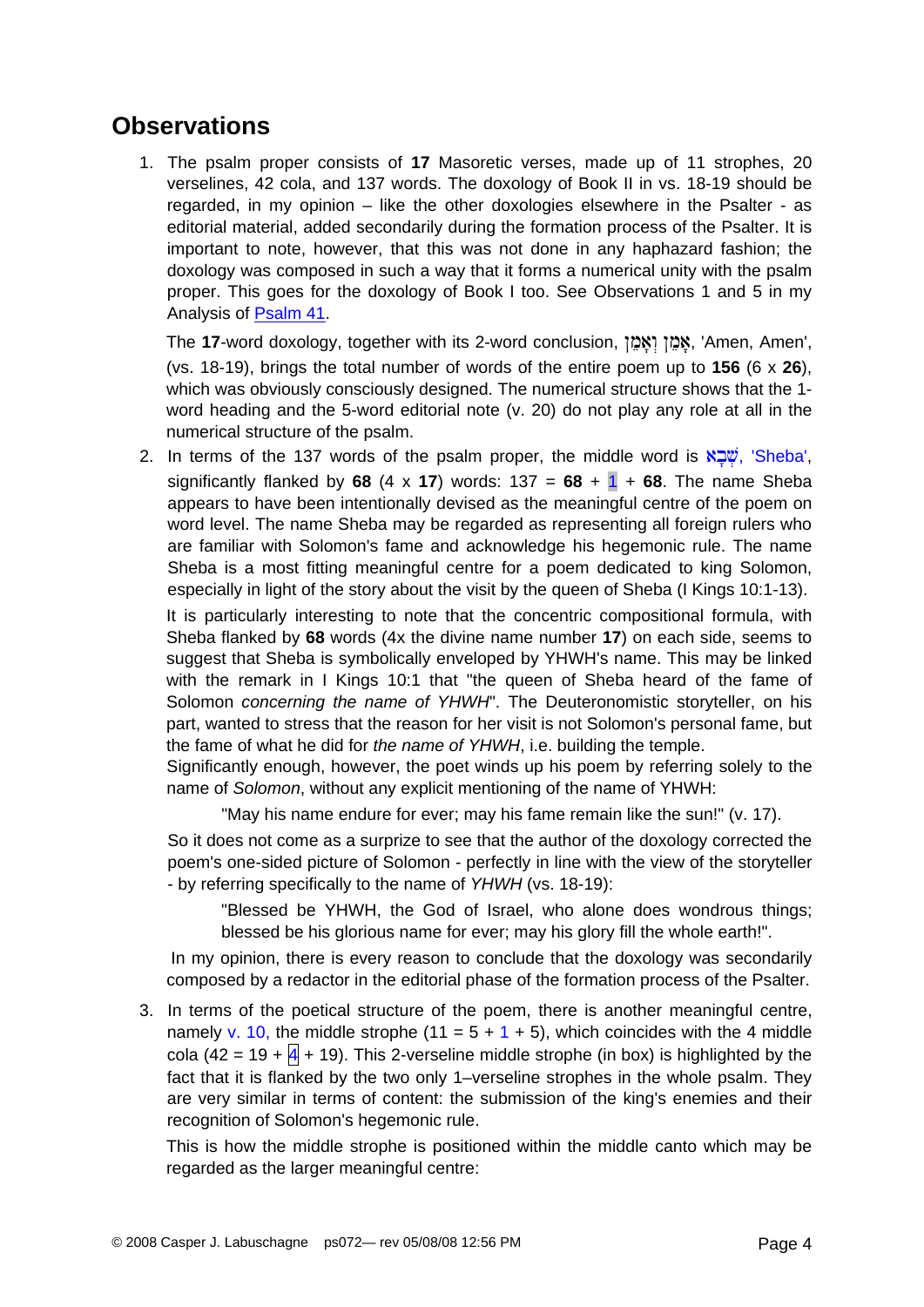### **Observations**

1. The psalm proper consists of **17** Masoretic verses, made up of 11 strophes, 20 verselines, 42 cola, and 137 words. The doxology of Book II in vs. 18-19 should be regarded, in my opinion – like the other doxologies elsewhere in the Psalter - as editorial material, added secondarily during the formation process of the Psalter. It is important to note, however, that this was not done in any haphazard fashion; the doxology was composed in such a way that it forms a numerical unity with the psalm proper. This goes for the doxology of Book I too. See Observations 1 and 5 in my Analysis of [Psalm 41.](http://www.labuschagne.nl/ps041.pdf)

The 17-word doxology, together with its 2-word conclusion, אֲמֶן *וְאֵמֶן* , 'Amen, Amen', (vs. 18-19), brings the total number of words of the entire poem up to **156** (6 x **26**), which was obviously consciously designed. The numerical structure shows that the 1 word heading and the 5-word editorial note (v. 20) do not play any role at all in the numerical structure of the psalm.

2. In terms of the 137 words of the psalm proper, the middle word is  $N\Box\ddot{u}$ , 'Sheba', significantly flanked by 68 (4 x 17) words:  $137 = 68 + 1 + 68$ . The name Sheba appears to have been intentionally devised as the meaningful centre of the poem on word level. The name Sheba may be regarded as representing all foreign rulers who are familiar with Solomon's fame and acknowledge his hegemonic rule. The name Sheba is a most fitting meaningful centre for a poem dedicated to king Solomon, especially in light of the story about the visit by the queen of Sheba (I Kings 10:1-13).

It is particularly interesting to note that the concentric compositional formula, with Sheba flanked by **68** words (4x the divine name number **17**) on each side, seems to suggest that Sheba is symbolically enveloped by YHWH's name. This may be linked with the remark in I Kings 10:1 that "the queen of Sheba heard of the fame of Solomon *concerning the name of YHWH*". The Deuteronomistic storyteller, on his part, wanted to stress that the reason for her visit is not Solomon's personal fame, but the fame of what he did for *the name of YHWH*, i.e. building the temple.

Significantly enough, however, the poet winds up his poem by referring solely to the name of *Solomon*, without any explicit mentioning of the name of YHWH:

"May his name endure for ever; may his fame remain like the sun!" (v. 17).

So it does not come as a surprize to see that the author of the doxology corrected the poem's one-sided picture of Solomon - perfectly in line with the view of the storyteller - by referring specifically to the name of *YHWH* (vs. 18-19):

"Blessed be YHWH, the God of Israel, who alone does wondrous things; blessed be his glorious name for ever; may his glory fill the whole earth!".

In my opinion, there is every reason to conclude that the doxology was secondarily composed by a redactor in the editorial phase of the formation process of the Psalter.

3. In terms of the poetical structure of the poem, there is another meaningful centre, namely v. 10, the middle strophe (11 =  $5 + 1 + 5$ ), which coincides with the 4 middle cola (42 = 19 +  $\overline{4}$  + 19). This 2-verseline middle strophe (in box) is highlighted by the fact that it is flanked by the two only 1–verseline strophes in the whole psalm. They are very similar in terms of content: the submission of the king's enemies and their recognition of Solomon's hegemonic rule.

This is how the middle strophe is positioned within the middle canto which may be regarded as the larger meaningful centre: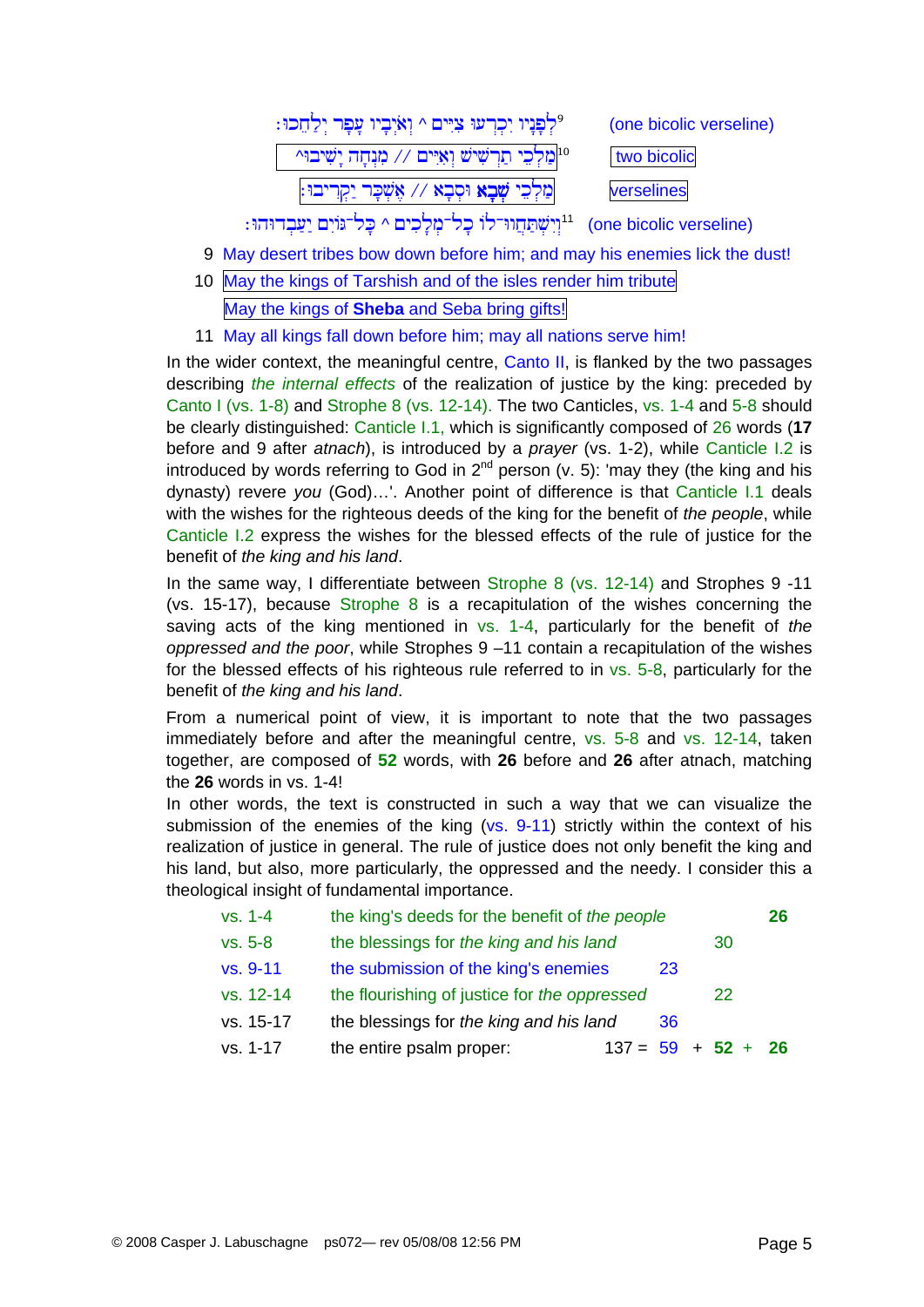| לִפְנָיו יִכְרְעוּ צִיִּים ^ וְאֹיְבָיו עָפָר יְלַחֵכוּ: º                                           | (one bicolic verseline) |
|------------------------------------------------------------------------------------------------------|-------------------------|
| <sup>10</sup>  מַלְכֵי תַרְשִׁישׁ וְאִיִּים ∕∕ מִנְחָה יָשִׁיבוּ^                                    | two bicolic             |
| מַלְכֵי <b>שָׁבָא</b> וּסְבָא // אֶשְׁכָּר יַקְרִיבוּ:                                               | verselines              |
| (one bicolic verseline) <sup>11</sup> וִיִשְׁתַּחֲוּד־לוֹ כָל־מִלָכִים ^ כָּל־גּוֹיִם יַעַּבְדוּהוּ: |                         |

- 9 May desert tribes bow down before him; and may his enemies lick the dust!
- 10 May the kings of Tarshish and of the isles render him tribute May the kings of **Sheba** and Seba bring gifts!
- 11 May all kings fall down before him; may all nations serve him!

In the wider context, the meaningful centre, Canto II, is flanked by the two passages describing *the internal effects* of the realization of justice by the king: preceded by Canto I (vs. 1-8) and Strophe 8 (vs. 12-14). The two Canticles, vs. 1-4 and 5-8 should be clearly distinguished: Canticle I.1, which is significantly composed of 26 words (**17** before and 9 after *atnach*), is introduced by a *prayer* (vs. 1-2), while Canticle I.2 is introduced by words referring to God in  $2^{nd}$  person (v. 5): 'may they (the king and his dynasty) revere *you* (God)…'. Another point of difference is that Canticle I.1 deals with the wishes for the righteous deeds of the king for the benefit of *the people*, while Canticle I.2 express the wishes for the blessed effects of the rule of justice for the benefit of *the king and his land*.

In the same way, I differentiate between Strophe 8 (vs. 12-14) and Strophes 9 -11 (vs. 15-17), because Strophe 8 is a recapitulation of the wishes concerning the saving acts of the king mentioned in vs. 1-4, particularly for the benefit of *the oppressed and the poor*, while Strophes 9 –11 contain a recapitulation of the wishes for the blessed effects of his righteous rule referred to in vs. 5-8, particularly for the benefit of *the king and his land*.

From a numerical point of view, it is important to note that the two passages immediately before and after the meaningful centre, vs. 5-8 and vs. 12-14, taken together, are composed of **52** words, with **26** before and **26** after atnach, matching the **26** words in vs. 1-4!

In other words, the text is constructed in such a way that we can visualize the submission of the enemies of the king (vs. 9-11) strictly within the context of his realization of justice in general. The rule of justice does not only benefit the king and his land, but also, more particularly, the oppressed and the needy. I consider this a theological insight of fundamental importance.

| $vs. 1-4$ | the king's deeds for the benefit of the people |                      |    |    | 26 |
|-----------|------------------------------------------------|----------------------|----|----|----|
| $vs. 5-8$ | the blessings for the king and his land        |                      |    | 30 |    |
| vs. 9-11  | the submission of the king's enemies           |                      | 23 |    |    |
| vs. 12-14 | the flourishing of justice for the oppressed   |                      |    | 22 |    |
| vs. 15-17 | the blessings for the king and his land        |                      | 36 |    |    |
| vs. 1-17  | the entire psalm proper:                       | $137 = 59 + 52 + 26$ |    |    |    |